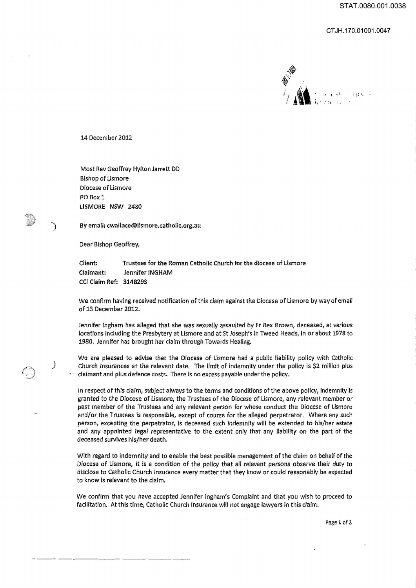## CT JH.170.01001.0047



14 December 2012

Most Rev Geoffrey Hylton Jarrett DD Bishop of Lismore Diocese of lismore PO Box 1 LISMORE NSW 2480

) By email: cwallace@lismore.catholic.org.au

Dear Bishop Geoffrey,

)

.. ---.\_-.\_--

Client: Trustees for the Roman Catholic Church for the diocese of lismore Claimant: Jennifer INGHAM eel Claim Ref: 3148293

We confirm having received notifjcation of this claim against the Diocese of lismore by way of email of 13 December 2012.

Jennifer Ingham has alleged that she was sexually assaulted by Fr Rex Brown, deceased, at various locations including the Presbytery at Lismore and at St Joseph's in Tweed Heads, in or about 1978 to 1980. Jennifer has brought her claim through Towards Healing.

We are pleased to advise that the Diocese of lismore had a public liability policy with Catholic Church Insurances at the relevant date. The limit of indemnity under the policy is \$2 million plus claimant and plus defence costs. There is no excess payable under the policy.

In respect of this claim, subject always to the terms and conditions of the above policy, indemnity is granted to the Diocese of lismore, the Trustees of the Diocese of Lismore, any relevant member or past member of the Trustees and any relevant person for whose conduct the Diocese of Lismore and/or the Trustees is responsible, except of course for the alleged perpetrator. Where any such person, excepting the perpetrator, is deceased such indemnity will be extended to his/her estate and any appointed legal representative to the extent only that any liability on the part of the deceased survives his/her death.

With regard to Indemnity and to enable the best possible management ofthe claim on behalfofthe Diocese of Lismore, it is a condition of the policy that all relevant persons observe their duty to disclose to Catholic Church Insurance every matter that they know or could reasonably be expected to know is relevant to the claim.

We confirm that you have accepted Jennifer Ingham's Complaint and that you wish to proceed to facilitation. At this time, Catholic Church Insurance will not engage lawyers in this claim.

Page 1 of 2.